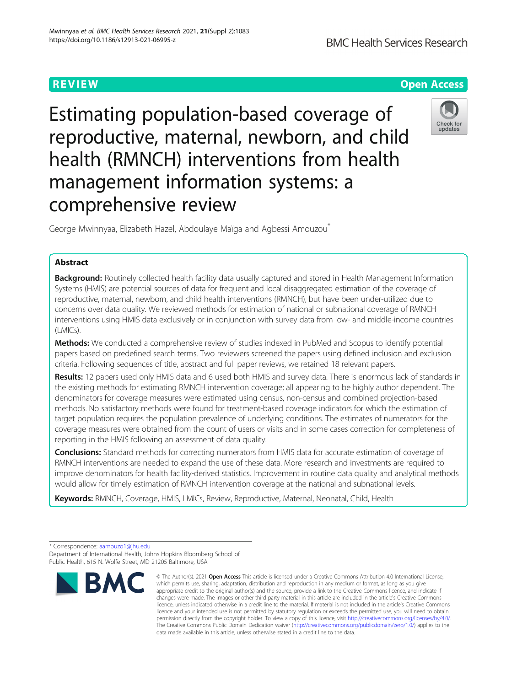**REVIEW ACCESS AND LOCAL CONTRACT CONTRACT OF ACCESS** 

Estimating population-based coverage of reproductive, maternal, newborn, and child health (RMNCH) interventions from health management information systems: a comprehensive review



George Mwinnyaa, Elizabeth Hazel, Abdoulaye Maïqa and Agbessi Amouzou<sup>\*</sup>

# Abstract

Background: Routinely collected health facility data usually captured and stored in Health Management Information Systems (HMIS) are potential sources of data for frequent and local disaggregated estimation of the coverage of reproductive, maternal, newborn, and child health interventions (RMNCH), but have been under-utilized due to concerns over data quality. We reviewed methods for estimation of national or subnational coverage of RMNCH interventions using HMIS data exclusively or in conjunction with survey data from low- and middle-income countries (LMICs).

Methods: We conducted a comprehensive review of studies indexed in PubMed and Scopus to identify potential papers based on predefined search terms. Two reviewers screened the papers using defined inclusion and exclusion criteria. Following sequences of title, abstract and full paper reviews, we retained 18 relevant papers.

Results: 12 papers used only HMIS data and 6 used both HMIS and survey data. There is enormous lack of standards in the existing methods for estimating RMNCH intervention coverage; all appearing to be highly author dependent. The denominators for coverage measures were estimated using census, non-census and combined projection-based methods. No satisfactory methods were found for treatment-based coverage indicators for which the estimation of target population requires the population prevalence of underlying conditions. The estimates of numerators for the coverage measures were obtained from the count of users or visits and in some cases correction for completeness of reporting in the HMIS following an assessment of data quality.

**Conclusions:** Standard methods for correcting numerators from HMIS data for accurate estimation of coverage of RMNCH interventions are needed to expand the use of these data. More research and investments are required to improve denominators for health facility-derived statistics. Improvement in routine data quality and analytical methods would allow for timely estimation of RMNCH intervention coverage at the national and subnational levels.

Keywords: RMNCH, Coverage, HMIS, LMICs, Review, Reproductive, Maternal, Neonatal, Child, Health

Department of International Health, Johns Hopkins Bloomberg School of Public Health, 615 N. Wolfe Street, MD 21205 Baltimore, USA



<sup>©</sup> The Author(s), 2021 **Open Access** This article is licensed under a Creative Commons Attribution 4.0 International License, which permits use, sharing, adaptation, distribution and reproduction in any medium or format, as long as you give appropriate credit to the original author(s) and the source, provide a link to the Creative Commons licence, and indicate if changes were made. The images or other third party material in this article are included in the article's Creative Commons licence, unless indicated otherwise in a credit line to the material. If material is not included in the article's Creative Commons licence and your intended use is not permitted by statutory regulation or exceeds the permitted use, you will need to obtain permission directly from the copyright holder. To view a copy of this licence, visit [http://creativecommons.org/licenses/by/4.0/.](http://creativecommons.org/licenses/by/4.0/) The Creative Commons Public Domain Dedication waiver [\(http://creativecommons.org/publicdomain/zero/1.0/](http://creativecommons.org/publicdomain/zero/1.0/)) applies to the data made available in this article, unless otherwise stated in a credit line to the data.

<sup>\*</sup> Correspondence: [aamouzo1@jhu.edu](mailto:aamouzo1@jhu.edu)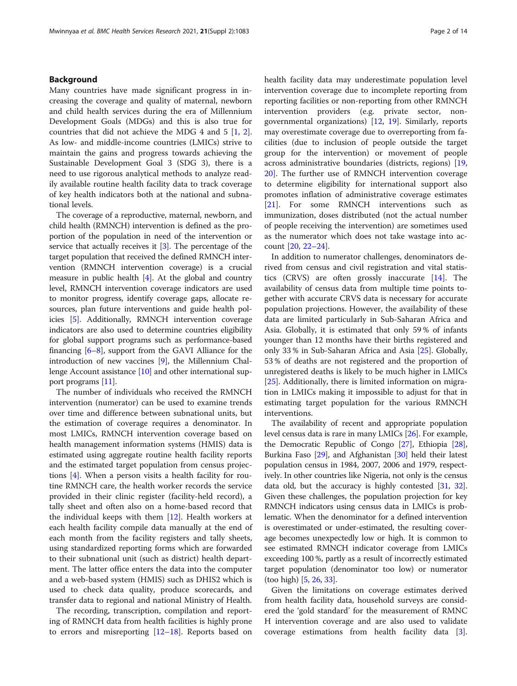# Background

Many countries have made significant progress in increasing the coverage and quality of maternal, newborn and child health services during the era of Millennium Development Goals (MDGs) and this is also true for countries that did not achieve the MDG 4 and 5 [\[1](#page-11-0), [2](#page-11-0)]. As low- and middle-income countries (LMICs) strive to maintain the gains and progress towards achieving the Sustainable Development Goal 3 (SDG 3), there is a need to use rigorous analytical methods to analyze readily available routine health facility data to track coverage of key health indicators both at the national and subnational levels.

The coverage of a reproductive, maternal, newborn, and child health (RMNCH) intervention is defined as the proportion of the population in need of the intervention or service that actually receives it [\[3\]](#page-11-0). The percentage of the target population that received the defined RMNCH intervention (RMNCH intervention coverage) is a crucial measure in public health [\[4](#page-11-0)]. At the global and country level, RMNCH intervention coverage indicators are used to monitor progress, identify coverage gaps, allocate resources, plan future interventions and guide health policies [[5](#page-11-0)]. Additionally, RMNCH intervention coverage indicators are also used to determine countries eligibility for global support programs such as performance-based financing [\[6](#page-11-0)–[8\]](#page-12-0), support from the GAVI Alliance for the introduction of new vaccines [\[9\]](#page-12-0), the Millennium Challenge Account assistance [\[10\]](#page-12-0) and other international support programs [[11\]](#page-12-0).

The number of individuals who received the RMNCH intervention (numerator) can be used to examine trends over time and difference between subnational units, but the estimation of coverage requires a denominator. In most LMICs, RMNCH intervention coverage based on health management information systems (HMIS) data is estimated using aggregate routine health facility reports and the estimated target population from census projections [[4\]](#page-11-0). When a person visits a health facility for routine RMNCH care, the health worker records the service provided in their clinic register (facility-held record), a tally sheet and often also on a home-based record that the individual keeps with them [[12](#page-12-0)]. Health workers at each health facility compile data manually at the end of each month from the facility registers and tally sheets, using standardized reporting forms which are forwarded to their subnational unit (such as district) health department. The latter office enters the data into the computer and a web-based system (HMIS) such as DHIS2 which is used to check data quality, produce scorecards, and transfer data to regional and national Ministry of Health.

The recording, transcription, compilation and reporting of RMNCH data from health facilities is highly prone to errors and misreporting [[12](#page-12-0)–[18](#page-12-0)]. Reports based on health facility data may underestimate population level intervention coverage due to incomplete reporting from reporting facilities or non-reporting from other RMNCH intervention providers (e.g. private sector, nongovernmental organizations) [[12,](#page-12-0) [19](#page-12-0)]. Similarly, reports may overestimate coverage due to overreporting from facilities (due to inclusion of people outside the target group for the intervention) or movement of people across administrative boundaries (districts, regions) [[19](#page-12-0), [20\]](#page-12-0). The further use of RMNCH intervention coverage to determine eligibility for international support also promotes inflation of administrative coverage estimates [[21\]](#page-12-0). For some RMNCH interventions such as immunization, doses distributed (not the actual number of people receiving the intervention) are sometimes used as the numerator which does not take wastage into account [\[20](#page-12-0), [22](#page-12-0)–[24\]](#page-12-0).

In addition to numerator challenges, denominators derived from census and civil registration and vital statistics (CRVS) are often grossly inaccurate [[14\]](#page-12-0). The availability of census data from multiple time points together with accurate CRVS data is necessary for accurate population projections. However, the availability of these data are limited particularly in Sub-Saharan Africa and Asia. Globally, it is estimated that only 59 % of infants younger than 12 months have their births registered and only 33 % in Sub-Saharan Africa and Asia [\[25\]](#page-12-0). Globally, 53 % of deaths are not registered and the proportion of unregistered deaths is likely to be much higher in LMICs [[25\]](#page-12-0). Additionally, there is limited information on migration in LMICs making it impossible to adjust for that in estimating target population for the various RMNCH interventions.

The availability of recent and appropriate population level census data is rare in many LMICs [[26](#page-12-0)]. For example, the Democratic Republic of Congo [\[27\]](#page-12-0), Ethiopia [[28](#page-12-0)], Burkina Faso [\[29\]](#page-12-0), and Afghanistan [\[30](#page-12-0)] held their latest population census in 1984, 2007, 2006 and 1979, respectively. In other countries like Nigeria, not only is the census data old, but the accuracy is highly contested [\[31,](#page-12-0) [32](#page-12-0)]. Given these challenges, the population projection for key RMNCH indicators using census data in LMICs is problematic. When the denominator for a defined intervention is overestimated or under-estimated, the resulting coverage becomes unexpectedly low or high. It is common to see estimated RMNCH indicator coverage from LMICs exceeding 100 %, partly as a result of incorrectly estimated target population (denominator too low) or numerator (too high) [\[5,](#page-11-0) [26](#page-12-0), [33](#page-12-0)].

Given the limitations on coverage estimates derived from health facility data, household surveys are considered the 'gold standard' for the measurement of RMNC H intervention coverage and are also used to validate coverage estimations from health facility data [\[3](#page-11-0)].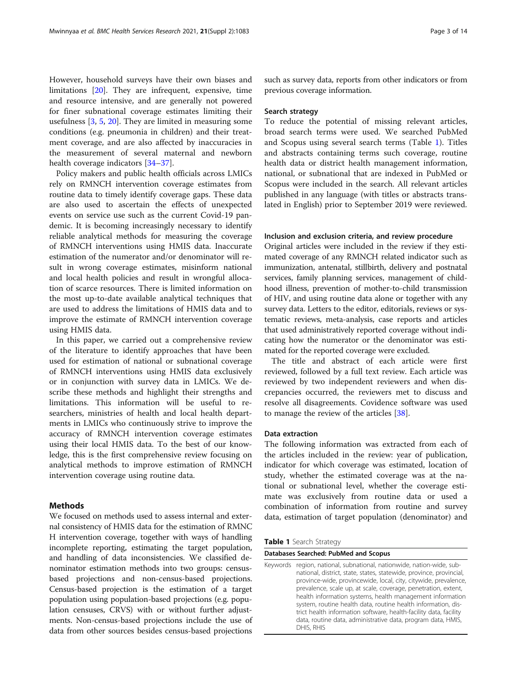<span id="page-2-0"></span>However, household surveys have their own biases and limitations [\[20\]](#page-12-0). They are infrequent, expensive, time and resource intensive, and are generally not powered for finer subnational coverage estimates limiting their usefulness [\[3](#page-11-0), [5](#page-11-0), [20](#page-12-0)]. They are limited in measuring some conditions (e.g. pneumonia in children) and their treatment coverage, and are also affected by inaccuracies in the measurement of several maternal and newborn health coverage indicators [[34](#page-12-0)–[37](#page-12-0)].

Policy makers and public health officials across LMICs rely on RMNCH intervention coverage estimates from routine data to timely identify coverage gaps. These data are also used to ascertain the effects of unexpected events on service use such as the current Covid-19 pandemic. It is becoming increasingly necessary to identify reliable analytical methods for measuring the coverage of RMNCH interventions using HMIS data. Inaccurate estimation of the numerator and/or denominator will result in wrong coverage estimates, misinform national and local health policies and result in wrongful allocation of scarce resources. There is limited information on the most up-to-date available analytical techniques that are used to address the limitations of HMIS data and to improve the estimate of RMNCH intervention coverage using HMIS data.

In this paper, we carried out a comprehensive review of the literature to identify approaches that have been used for estimation of national or subnational coverage of RMNCH interventions using HMIS data exclusively or in conjunction with survey data in LMICs. We describe these methods and highlight their strengths and limitations. This information will be useful to researchers, ministries of health and local health departments in LMICs who continuously strive to improve the accuracy of RMNCH intervention coverage estimates using their local HMIS data. To the best of our knowledge, this is the first comprehensive review focusing on analytical methods to improve estimation of RMNCH intervention coverage using routine data.

# **Methods**

We focused on methods used to assess internal and external consistency of HMIS data for the estimation of RMNC H intervention coverage, together with ways of handling incomplete reporting, estimating the target population, and handling of data inconsistencies. We classified denominator estimation methods into two groups: censusbased projections and non-census-based projections. Census-based projection is the estimation of a target population using population-based projections (e.g. population censuses, CRVS) with or without further adjustments. Non-census-based projections include the use of data from other sources besides census-based projections such as survey data, reports from other indicators or from previous coverage information.

## Search strategy

To reduce the potential of missing relevant articles, broad search terms were used. We searched PubMed and Scopus using several search terms (Table 1). Titles and abstracts containing terms such coverage, routine health data or district health management information, national, or subnational that are indexed in PubMed or Scopus were included in the search. All relevant articles published in any language (with titles or abstracts translated in English) prior to September 2019 were reviewed.

# Inclusion and exclusion criteria, and review procedure

Original articles were included in the review if they estimated coverage of any RMNCH related indicator such as immunization, antenatal, stillbirth, delivery and postnatal services, family planning services, management of childhood illness, prevention of mother-to-child transmission of HIV, and using routine data alone or together with any survey data. Letters to the editor, editorials, reviews or systematic reviews, meta-analysis, case reports and articles that used administratively reported coverage without indicating how the numerator or the denominator was estimated for the reported coverage were excluded.

The title and abstract of each article were first reviewed, followed by a full text review. Each article was reviewed by two independent reviewers and when discrepancies occurred, the reviewers met to discuss and resolve all disagreements. Covidence software was used to manage the review of the articles [\[38](#page-12-0)].

## Data extraction

The following information was extracted from each of the articles included in the review: year of publication, indicator for which coverage was estimated, location of study, whether the estimated coverage was at the national or subnational level, whether the coverage estimate was exclusively from routine data or used a combination of information from routine and survey data, estimation of target population (denominator) and

|  | Table 1 Search Strategy |
|--|-------------------------|
|--|-------------------------|

|          | Databases Searched: PubMed and Scopus                                                                                                                                                                                                                                                                                                                                                                                                                                                                                                                     |
|----------|-----------------------------------------------------------------------------------------------------------------------------------------------------------------------------------------------------------------------------------------------------------------------------------------------------------------------------------------------------------------------------------------------------------------------------------------------------------------------------------------------------------------------------------------------------------|
| Keywords | region, national, subnational, nationwide, nation-wide, sub-<br>national, district, state, states, statewide, province, provincial,<br>province-wide, provincewide, local, city, citywide, prevalence,<br>prevalence, scale up, at scale, coverage, penetration, extent,<br>health information systems, health management information<br>system, routine health data, routine health information, dis-<br>trict health information software, health-facility data, facility<br>data, routine data, administrative data, program data, HMIS,<br>DHIS, RHIS |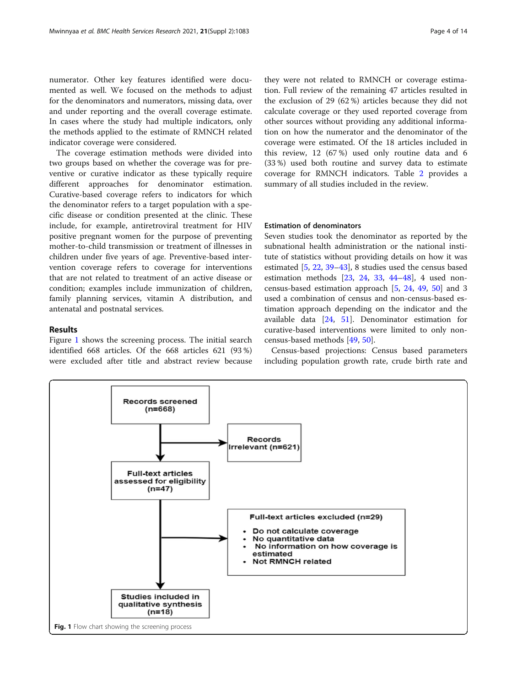numerator. Other key features identified were documented as well. We focused on the methods to adjust for the denominators and numerators, missing data, over and under reporting and the overall coverage estimate. In cases where the study had multiple indicators, only the methods applied to the estimate of RMNCH related indicator coverage were considered.

The coverage estimation methods were divided into two groups based on whether the coverage was for preventive or curative indicator as these typically require different approaches for denominator estimation. Curative-based coverage refers to indicators for which the denominator refers to a target population with a specific disease or condition presented at the clinic. These include, for example, antiretroviral treatment for HIV positive pregnant women for the purpose of preventing mother-to-child transmission or treatment of illnesses in children under five years of age. Preventive-based intervention coverage refers to coverage for interventions that are not related to treatment of an active disease or condition; examples include immunization of children, family planning services, vitamin A distribution, and antenatal and postnatal services.

# Results

Figure 1 shows the screening process. The initial search identified 668 articles. Of the 668 articles 621 (93 %) were excluded after title and abstract review because they were not related to RMNCH or coverage estimation. Full review of the remaining 47 articles resulted in the exclusion of 29 (62 %) articles because they did not calculate coverage or they used reported coverage from other sources without providing any additional information on how the numerator and the denominator of the coverage were estimated. Of the 18 articles included in this review, 12 (67 %) used only routine data and 6 (33 %) used both routine and survey data to estimate coverage for RMNCH indicators. Table [2](#page-4-0) provides a summary of all studies included in the review.

# Estimation of denominators

Seven studies took the denominator as reported by the subnational health administration or the national institute of statistics without providing details on how it was estimated [\[5](#page-11-0), [22,](#page-12-0) [39](#page-12-0)–[43\]](#page-12-0), 8 studies used the census based estimation methods [[23](#page-12-0), [24,](#page-12-0) [33,](#page-12-0) [44](#page-12-0)–[48](#page-12-0)], 4 used noncensus-based estimation approach [\[5](#page-11-0), [24](#page-12-0), [49](#page-12-0), [50](#page-12-0)] and 3 used a combination of census and non-census-based estimation approach depending on the indicator and the available data [\[24,](#page-12-0) [51\]](#page-12-0). Denominator estimation for curative-based interventions were limited to only noncensus-based methods [[49](#page-12-0), [50](#page-12-0)].

Census-based projections: Census based parameters including population growth rate, crude birth rate and

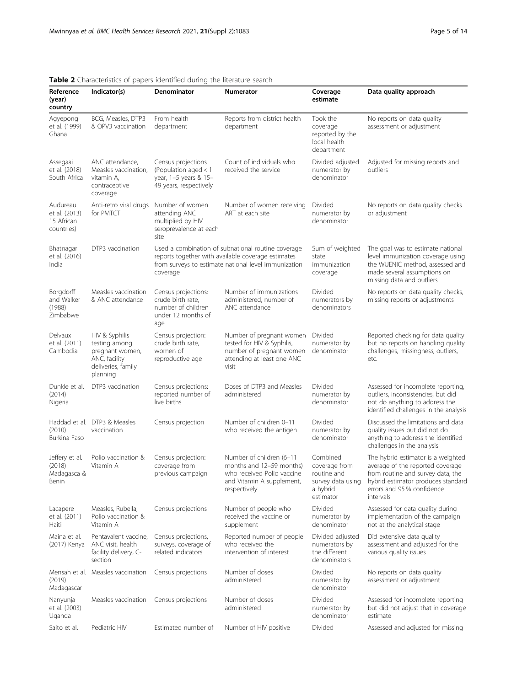| Reference<br>(year)<br>country                        | Indicator(s)                                                                                          | ■ endracteristics or papers rachtined dannig the incrutate search<br>Denominator                | <b>Numerator</b>                                                                                                                                                 | Coverage<br>estimate                                                                   | Data quality approach                                                                                                                                                                        |
|-------------------------------------------------------|-------------------------------------------------------------------------------------------------------|-------------------------------------------------------------------------------------------------|------------------------------------------------------------------------------------------------------------------------------------------------------------------|----------------------------------------------------------------------------------------|----------------------------------------------------------------------------------------------------------------------------------------------------------------------------------------------|
| Agyepong<br>et al. (1999)<br>Ghana                    | BCG, Measles, DTP3<br>& OPV3 vaccination                                                              | From health<br>department                                                                       | Reports from district health<br>department                                                                                                                       | Took the<br>coverage<br>reported by the<br>local health<br>department                  | No reports on data quality<br>assessment or adjustment                                                                                                                                       |
| Assegaai<br>et al. (2018)<br>South Africa             | ANC attendance,<br>Measles vaccination,<br>vitamin A,<br>contraceptive<br>coverage                    | Census projections<br>(Population aged $<$ 1<br>year, 1-5 years & 15-<br>49 years, respectively | Count of individuals who<br>received the service                                                                                                                 | Divided adjusted<br>numerator by<br>denominator                                        | Adjusted for missing reports and<br>outliers                                                                                                                                                 |
| Audureau<br>et al. (2013)<br>15 African<br>countries) | Anti-retro viral drugs<br>for PMTCT                                                                   | Number of women<br>attending ANC<br>multiplied by HIV<br>seroprevalence at each<br>site         | Number of women receiving<br>ART at each site                                                                                                                    | Divided<br>numerator by<br>denominator                                                 | No reports on data quality checks<br>or adjustment                                                                                                                                           |
| Bhatnagar<br>et al. (2016)<br>India                   | DTP3 vaccination                                                                                      | coverage                                                                                        | Used a combination of subnational routine coverage<br>reports together with available coverage estimates<br>from surveys to estimate national level immunization | Sum of weighted<br>state<br>immunization<br>coverage                                   | The goal was to estimate national<br>level immunization coverage using<br>the WUENIC method, assessed and<br>made several assumptions on<br>missing data and outliers                        |
| Borgdorff<br>and Walker<br>(1988)<br>Zimbabwe         | Measles vaccination<br>& ANC attendance                                                               | Census projections:<br>crude birth rate,<br>number of children<br>under 12 months of<br>age     | Number of immunizations<br>administered, number of<br>ANC attendance                                                                                             | Divided<br>numerators by<br>denominators                                               | No reports on data quality checks,<br>missing reports or adjustments                                                                                                                         |
| Delvaux<br>et al. (2011)<br>Cambodia                  | HIV & Syphilis<br>testing among<br>pregnant women,<br>ANC, facility<br>deliveries, family<br>planning | Census projection:<br>crude birth rate,<br>women of<br>reproductive age                         | Number of pregnant women<br>tested for HIV & Syphilis,<br>number of pregnant women<br>attending at least one ANC<br>visit                                        | Divided<br>numerator by<br>denominator                                                 | Reported checking for data quality<br>but no reports on handling quality<br>challenges, missingness, outliers,<br>etc.                                                                       |
| Dunkle et al.<br>(2014)<br>Nigeria                    | DTP3 vaccination                                                                                      | Census projections:<br>reported number of<br>live births                                        | Doses of DTP3 and Measles<br>administered                                                                                                                        | Divided<br>numerator by<br>denominator                                                 | Assessed for incomplete reporting,<br>outliers, inconsistencies, but did<br>not do anything to address the<br>identified challenges in the analysis                                          |
| (2010)<br>Burkina Faso                                | Haddad et al. DTP3 & Measles<br>vaccination                                                           | Census projection                                                                               | Number of children 0-11<br>who received the antigen                                                                                                              | Divided<br>numerator by<br>denominator                                                 | Discussed the limitations and data<br>quality issues but did not do<br>anything to address the identified<br>challenges in the analysis                                                      |
| Jeffery et al.<br>(2018)<br>Madagasca &<br>Benin      | Polio vaccination &<br>Vitamin A                                                                      | Census projection:<br>coverage from<br>previous campaign                                        | Number of children (6-11<br>months and 12-59 months)<br>who received Polio vaccine<br>and Vitamin A supplement,<br>respectively                                  | Combined<br>coverage from<br>routine and<br>survey data using<br>a hybrid<br>estimator | The hybrid estimator is a weighted<br>average of the reported coverage<br>from routine and survey data, the<br>hybrid estimator produces standard<br>errors and 95 % confidence<br>intervals |
| Lacapere<br>et al. (2011)<br>Haiti                    | Measles, Rubella,<br>Polio vaccination &<br>Vitamin A                                                 | Census projections                                                                              | Number of people who<br>received the vaccine or<br>supplement                                                                                                    | Divided<br>numerator by<br>denominator                                                 | Assessed for data quality during<br>implementation of the campaign<br>not at the analytical stage                                                                                            |
| Maina et al.<br>(2017) Kenya                          | Pentavalent vaccine,<br>ANC visit, health<br>facility delivery, C-<br>section                         | Census projections,<br>surveys, coverage of<br>related indicators                               | Reported number of people<br>who received the<br>intervention of interest                                                                                        | Divided adjusted<br>numerators by<br>the different<br>denominators                     | Did extensive data quality<br>assessment and adjusted for the<br>various quality issues                                                                                                      |
| (2019)<br>Madagascar                                  | Mensah et al. Measles vaccination                                                                     | Census projections                                                                              | Number of doses<br>administered                                                                                                                                  | Divided<br>numerator by<br>denominator                                                 | No reports on data quality<br>assessment or adjustment                                                                                                                                       |
| Nanyunja<br>et al. (2003)<br>Uganda                   | Measles vaccination                                                                                   | Census projections                                                                              | Number of doses<br>administered                                                                                                                                  | Divided<br>numerator by<br>denominator                                                 | Assessed for incomplete reporting<br>but did not adjust that in coverage<br>estimate                                                                                                         |
| Saito et al.                                          | Pediatric HIV                                                                                         | Estimated number of                                                                             | Number of HIV positive                                                                                                                                           | Divided                                                                                | Assessed and adjusted for missing                                                                                                                                                            |

# <span id="page-4-0"></span>Table 2 Characteristics of papers identified during the literature search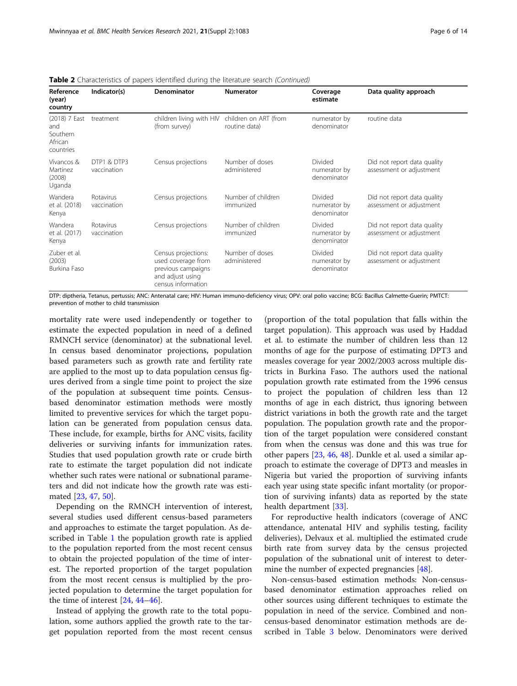|  | Table 2 Characteristics of papers identified during the literature search (Continued) |  |  |  |  |
|--|---------------------------------------------------------------------------------------|--|--|--|--|
|  |                                                                                       |  |  |  |  |

| Reference<br>(year)<br>country                           | Indicator(s)               | Denominator                                                                                               | <b>Numerator</b>                       | Coverage<br>estimate                   | Data quality approach                                   |
|----------------------------------------------------------|----------------------------|-----------------------------------------------------------------------------------------------------------|----------------------------------------|----------------------------------------|---------------------------------------------------------|
| (2018) 7 East<br>and<br>Southern<br>African<br>countries | treatment                  | children living with HIV<br>(from survey)                                                                 | children on ART (from<br>routine data) | numerator by<br>denominator            | routine data                                            |
| Vivancos &<br>Martinez<br>(2008)<br>Uganda               | DTP1 & DTP3<br>vaccination | Census projections                                                                                        | Number of doses<br>administered        | Divided<br>numerator by<br>denominator | Did not report data quality<br>assessment or adjustment |
| Wandera<br>et al. (2018)<br>Kenya                        | Rotavirus<br>vaccination   | Census projections                                                                                        | Number of children<br>immunized        | Divided<br>numerator by<br>denominator | Did not report data quality<br>assessment or adjustment |
| Wandera<br>et al. (2017)<br>Kenya                        | Rotavirus<br>vaccination   | Census projections                                                                                        | Number of children<br>immunized        | Divided<br>numerator by<br>denominator | Did not report data quality<br>assessment or adjustment |
| Zuber et al.<br>(2003)<br>Burkina Faso                   |                            | Census projections:<br>used coverage from<br>previous campaigns<br>and adjust using<br>census information | Number of doses<br>administered        | Divided<br>numerator by<br>denominator | Did not report data quality<br>assessment or adjustment |

DTP: diptheria, Tetanus, pertussis; ANC: Antenatal care; HIV: Human immuno-deficiency virus; OPV: oral polio vaccine; BCG: Bacillus Calmette-Guerin; PMTCT: prevention of mother to child transmission

mortality rate were used independently or together to estimate the expected population in need of a defined RMNCH service (denominator) at the subnational level. In census based denominator projections, population based parameters such as growth rate and fertility rate are applied to the most up to data population census figures derived from a single time point to project the size of the population at subsequent time points. Censusbased denominator estimation methods were mostly limited to preventive services for which the target population can be generated from population census data. These include, for example, births for ANC visits, facility deliveries or surviving infants for immunization rates. Studies that used population growth rate or crude birth rate to estimate the target population did not indicate whether such rates were national or subnational parameters and did not indicate how the growth rate was estimated [\[23,](#page-12-0) [47,](#page-12-0) [50\]](#page-12-0).

Depending on the RMNCH intervention of interest, several studies used different census-based parameters and approaches to estimate the target population. As described in Table [1](#page-2-0) the population growth rate is applied to the population reported from the most recent census to obtain the projected population of the time of interest. The reported proportion of the target population from the most recent census is multiplied by the projected population to determine the target population for the time of interest  $[24, 44-46]$  $[24, 44-46]$  $[24, 44-46]$  $[24, 44-46]$  $[24, 44-46]$ .

Instead of applying the growth rate to the total population, some authors applied the growth rate to the target population reported from the most recent census

(proportion of the total population that falls within the target population). This approach was used by Haddad et al. to estimate the number of children less than 12 months of age for the purpose of estimating DPT3 and measles coverage for year 2002/2003 across multiple districts in Burkina Faso. The authors used the national population growth rate estimated from the 1996 census to project the population of children less than 12 months of age in each district, thus ignoring between district variations in both the growth rate and the target population. The population growth rate and the proportion of the target population were considered constant from when the census was done and this was true for other papers [\[23](#page-12-0), [46,](#page-12-0) [48\]](#page-12-0). Dunkle et al. used a similar approach to estimate the coverage of DPT3 and measles in Nigeria but varied the proportion of surviving infants each year using state specific infant mortality (or proportion of surviving infants) data as reported by the state health department [\[33\]](#page-12-0).

For reproductive health indicators (coverage of ANC attendance, antenatal HIV and syphilis testing, facility deliveries), Delvaux et al. multiplied the estimated crude birth rate from survey data by the census projected population of the subnational unit of interest to determine the number of expected pregnancies [\[48](#page-12-0)].

Non-census-based estimation methods: Non-censusbased denominator estimation approaches relied on other sources using different techniques to estimate the population in need of the service. Combined and noncensus-based denominator estimation methods are described in Table [3](#page-7-0) below. Denominators were derived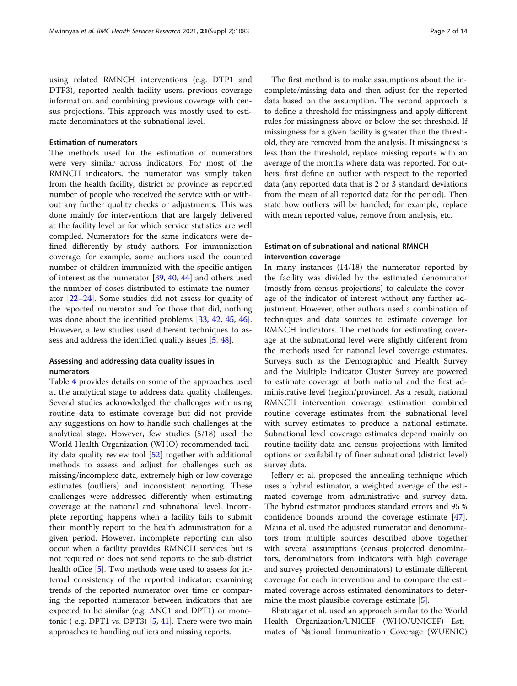using related RMNCH interventions (e.g. DTP1 and DTP3), reported health facility users, previous coverage information, and combining previous coverage with census projections. This approach was mostly used to estimate denominators at the subnational level.

# Estimation of numerators

The methods used for the estimation of numerators were very similar across indicators. For most of the RMNCH indicators, the numerator was simply taken from the health facility, district or province as reported number of people who received the service with or without any further quality checks or adjustments. This was done mainly for interventions that are largely delivered at the facility level or for which service statistics are well compiled. Numerators for the same indicators were defined differently by study authors. For immunization coverage, for example, some authors used the counted number of children immunized with the specific antigen of interest as the numerator [[39](#page-12-0), [40,](#page-12-0) [44\]](#page-12-0) and others used the number of doses distributed to estimate the numerator [\[22](#page-12-0)–[24\]](#page-12-0). Some studies did not assess for quality of the reported numerator and for those that did, nothing was done about the identified problems [[33,](#page-12-0) [42](#page-12-0), [45,](#page-12-0) [46](#page-12-0)]. However, a few studies used different techniques to assess and address the identified quality issues [\[5](#page-11-0), [48\]](#page-12-0).

# Assessing and addressing data quality issues in numerators

Table [4](#page-9-0) provides details on some of the approaches used at the analytical stage to address data quality challenges. Several studies acknowledged the challenges with using routine data to estimate coverage but did not provide any suggestions on how to handle such challenges at the analytical stage. However, few studies (5/18) used the World Health Organization (WHO) recommended facility data quality review tool [[52](#page-12-0)] together with additional methods to assess and adjust for challenges such as missing/incomplete data, extremely high or low coverage estimates (outliers) and inconsistent reporting. These challenges were addressed differently when estimating coverage at the national and subnational level. Incomplete reporting happens when a facility fails to submit their monthly report to the health administration for a given period. However, incomplete reporting can also occur when a facility provides RMNCH services but is not required or does not send reports to the sub-district health office [\[5\]](#page-11-0). Two methods were used to assess for internal consistency of the reported indicator: examining trends of the reported numerator over time or comparing the reported numerator between indicators that are expected to be similar (e.g. ANC1 and DPT1) or monotonic ( e.g. DPT1 vs. DPT3) [\[5](#page-11-0), [41](#page-12-0)]. There were two main approaches to handling outliers and missing reports.

The first method is to make assumptions about the incomplete/missing data and then adjust for the reported data based on the assumption. The second approach is to define a threshold for missingness and apply different rules for missingness above or below the set threshold. If missingness for a given facility is greater than the threshold, they are removed from the analysis. If missingness is less than the threshold, replace missing reports with an average of the months where data was reported. For outliers, first define an outlier with respect to the reported data (any reported data that is 2 or 3 standard deviations from the mean of all reported data for the period). Then state how outliers will be handled; for example, replace with mean reported value, remove from analysis, etc.

# Estimation of subnational and national RMNCH intervention coverage

In many instances (14/18) the numerator reported by the facility was divided by the estimated denominator (mostly from census projections) to calculate the coverage of the indicator of interest without any further adjustment. However, other authors used a combination of techniques and data sources to estimate coverage for RMNCH indicators. The methods for estimating coverage at the subnational level were slightly different from the methods used for national level coverage estimates. Surveys such as the Demographic and Health Survey and the Multiple Indicator Cluster Survey are powered to estimate coverage at both national and the first administrative level (region/province). As a result, national RMNCH intervention coverage estimation combined routine coverage estimates from the subnational level with survey estimates to produce a national estimate. Subnational level coverage estimates depend mainly on routine facility data and census projections with limited options or availability of finer subnational (district level) survey data.

Jeffery et al. proposed the annealing technique which uses a hybrid estimator, a weighted average of the estimated coverage from administrative and survey data. The hybrid estimator produces standard errors and 95 % confidence bounds around the coverage estimate [\[47](#page-12-0)]. Maina et al. used the adjusted numerator and denominators from multiple sources described above together with several assumptions (census projected denominators, denominators from indicators with high coverage and survey projected denominators) to estimate different coverage for each intervention and to compare the estimated coverage across estimated denominators to deter-mine the most plausible coverage estimate [[5\]](#page-11-0).

Bhatnagar et al. used an approach similar to the World Health Organization/UNICEF (WHO/UNICEF) Estimates of National Immunization Coverage (WUENIC)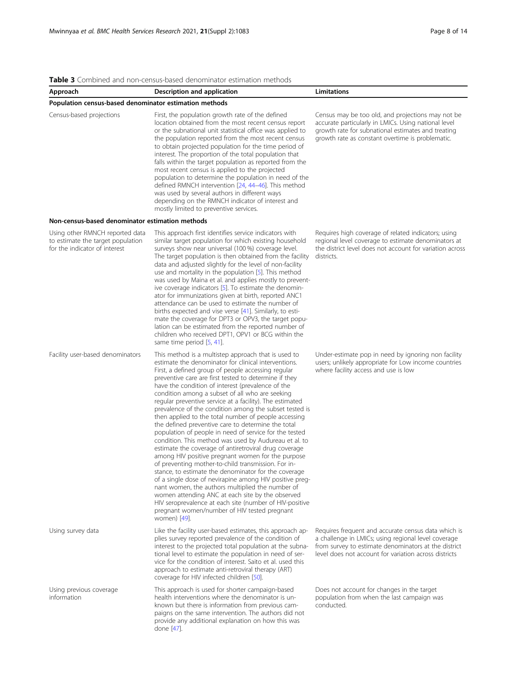## <span id="page-7-0"></span>Table 3 Combined and non-census-based denominator estimation methods

| Approach                                                                                              | Description and application                                                                                                                                                                                                                                                                                                                                                                                                                                                                                                                                                                                                                                                                                                                                                                                                                                                                                                                                                                                                                                                                                                                                                                                          | Limitations                                                                                                                                                                                                                 |
|-------------------------------------------------------------------------------------------------------|----------------------------------------------------------------------------------------------------------------------------------------------------------------------------------------------------------------------------------------------------------------------------------------------------------------------------------------------------------------------------------------------------------------------------------------------------------------------------------------------------------------------------------------------------------------------------------------------------------------------------------------------------------------------------------------------------------------------------------------------------------------------------------------------------------------------------------------------------------------------------------------------------------------------------------------------------------------------------------------------------------------------------------------------------------------------------------------------------------------------------------------------------------------------------------------------------------------------|-----------------------------------------------------------------------------------------------------------------------------------------------------------------------------------------------------------------------------|
| Population census-based denominator estimation methods                                                |                                                                                                                                                                                                                                                                                                                                                                                                                                                                                                                                                                                                                                                                                                                                                                                                                                                                                                                                                                                                                                                                                                                                                                                                                      |                                                                                                                                                                                                                             |
| Census-based projections                                                                              | First, the population growth rate of the defined<br>location obtained from the most recent census report<br>or the subnational unit statistical office was applied to<br>the population reported from the most recent census<br>to obtain projected population for the time period of<br>interest. The proportion of the total population that<br>falls within the target population as reported from the<br>most recent census is applied to the projected<br>population to determine the population in need of the<br>defined RMNCH intervention [24, 44-46]. This method<br>was used by several authors in different ways<br>depending on the RMNCH indicator of interest and<br>mostly limited to preventive services.                                                                                                                                                                                                                                                                                                                                                                                                                                                                                           | Census may be too old, and projections may not be<br>accurate particularly in LMICs. Using national level<br>growth rate for subnational estimates and treating<br>growth rate as constant overtime is problematic.         |
| Non-census-based denominator estimation methods                                                       |                                                                                                                                                                                                                                                                                                                                                                                                                                                                                                                                                                                                                                                                                                                                                                                                                                                                                                                                                                                                                                                                                                                                                                                                                      |                                                                                                                                                                                                                             |
| Using other RMNCH reported data<br>to estimate the target population<br>for the indicator of interest | This approach first identifies service indicators with<br>similar target population for which existing household<br>surveys show near universal (100 %) coverage level.<br>The target population is then obtained from the facility<br>data and adjusted slightly for the level of non-facility<br>use and mortality in the population [5]. This method<br>was used by Maina et al. and applies mostly to prevent-<br>ive coverage indicators [5]. To estimate the denomin-<br>ator for immunizations given at birth, reported ANC1<br>attendance can be used to estimate the number of<br>births expected and vise verse [41]. Similarly, to esti-<br>mate the coverage for DPT3 or OPV3, the target popu-<br>lation can be estimated from the reported number of<br>children who received DPT1, OPV1 or BCG within the<br>same time period [5, 41].                                                                                                                                                                                                                                                                                                                                                                | Requires high coverage of related indicators; using<br>regional level coverage to estimate denominators at<br>the district level does not account for variation across<br>districts.                                        |
| Facility user-based denominators                                                                      | This method is a multistep approach that is used to<br>estimate the denominator for clinical interventions.<br>First, a defined group of people accessing regular<br>preventive care are first tested to determine if they<br>have the condition of interest (prevalence of the<br>condition among a subset of all who are seeking<br>regular preventive service at a facility). The estimated<br>prevalence of the condition among the subset tested is<br>then applied to the total number of people accessing<br>the defined preventive care to determine the total<br>population of people in need of service for the tested<br>condition. This method was used by Audureau et al. to<br>estimate the coverage of antiretroviral drug coverage<br>among HIV positive pregnant women for the purpose<br>of preventing mother-to-child transmission. For in-<br>stance, to estimate the denominator for the coverage<br>of a single dose of nevirapine among HIV positive preg-<br>nant women, the authors multiplied the number of<br>women attending ANC at each site by the observed<br>HIV seroprevalence at each site (number of HIV-positive<br>pregnant women/number of HIV tested pregnant<br>women) [49]. | Under-estimate pop in need by ignoring non facility<br>users; unlikely appropriate for Low income countries<br>where facility access and use is low                                                                         |
| Using survey data                                                                                     | Like the facility user-based estimates, this approach ap-<br>plies survey reported prevalence of the condition of<br>interest to the projected total population at the subna-<br>tional level to estimate the population in need of ser-<br>vice for the condition of interest. Saito et al. used this<br>approach to estimate anti-retroviral therapy (ART)<br>coverage for HIV infected children [50].                                                                                                                                                                                                                                                                                                                                                                                                                                                                                                                                                                                                                                                                                                                                                                                                             | Requires frequent and accurate census data which is<br>a challenge in LMICs; using regional level coverage<br>from survey to estimate denominators at the district<br>level does not account for variation across districts |
| Using previous coverage<br>information                                                                | This approach is used for shorter campaign-based<br>health interventions where the denominator is un-<br>known but there is information from previous cam-<br>paigns on the same intervention. The authors did not<br>provide any additional explanation on how this was<br>done [47].                                                                                                                                                                                                                                                                                                                                                                                                                                                                                                                                                                                                                                                                                                                                                                                                                                                                                                                               | Does not account for changes in the target<br>population from when the last campaign was<br>conducted.                                                                                                                      |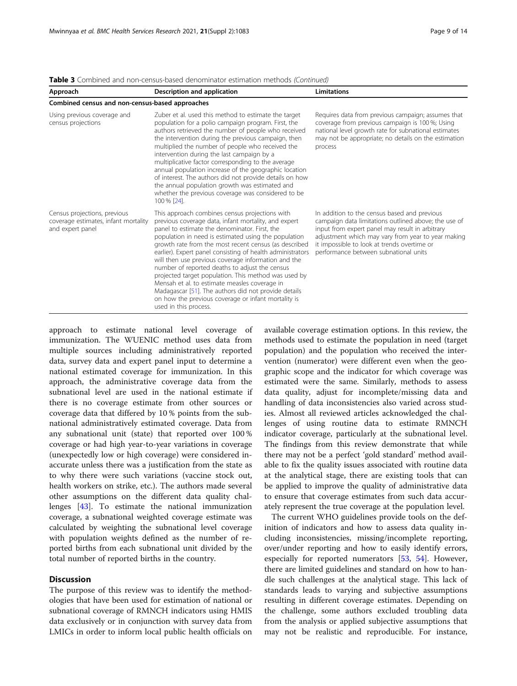| Approach                                                                                 | Description and application                                                                                                                                                                                                                                                                                                                                                                                                                                                                                                                                                                                                                                                                      | <b>Limitations</b>                                                                                                                                                                                                                                                                                    |  |  |  |  |
|------------------------------------------------------------------------------------------|--------------------------------------------------------------------------------------------------------------------------------------------------------------------------------------------------------------------------------------------------------------------------------------------------------------------------------------------------------------------------------------------------------------------------------------------------------------------------------------------------------------------------------------------------------------------------------------------------------------------------------------------------------------------------------------------------|-------------------------------------------------------------------------------------------------------------------------------------------------------------------------------------------------------------------------------------------------------------------------------------------------------|--|--|--|--|
| Combined census and non-census-based approaches                                          |                                                                                                                                                                                                                                                                                                                                                                                                                                                                                                                                                                                                                                                                                                  |                                                                                                                                                                                                                                                                                                       |  |  |  |  |
| Using previous coverage and<br>census projections                                        | Zuber et al. used this method to estimate the target<br>population for a polio campaign program. First, the<br>authors retrieved the number of people who received<br>the intervention during the previous campaign, then<br>multiplied the number of people who received the<br>intervention during the last campaign by a<br>multiplicative factor corresponding to the average<br>annual population increase of the geographic location<br>of interest. The authors did not provide details on how<br>the annual population growth was estimated and<br>whether the previous coverage was considered to be<br>100 % [24].                                                                     | Requires data from previous campaign; assumes that<br>coverage from previous campaign is 100 %; Using<br>national level growth rate for subnational estimates<br>may not be appropriate; no details on the estimation<br>process                                                                      |  |  |  |  |
| Census projections, previous<br>coverage estimates, infant mortality<br>and expert panel | This approach combines census projections with<br>previous coverage data, infant mortality, and expert<br>panel to estimate the denominator. First, the<br>population in need is estimated using the population<br>growth rate from the most recent census (as described<br>earlier). Expert panel consisting of health administrators<br>will then use previous coverage information and the<br>number of reported deaths to adjust the census<br>projected target population. This method was used by<br>Mensah et al. to estimate measles coverage in<br>Madagascar [51]. The authors did not provide details<br>on how the previous coverage or infant mortality is<br>used in this process. | In addition to the census based and previous<br>campaign data limitations outlined above; the use of<br>input from expert panel may result in arbitrary<br>adjustment which may vary from year to year making<br>it impossible to look at trends overtime or<br>performance between subnational units |  |  |  |  |

Table 3 Combined and non-census-based denominator estimation methods (Continued)

approach to estimate national level coverage of immunization. The WUENIC method uses data from multiple sources including administratively reported data, survey data and expert panel input to determine a national estimated coverage for immunization. In this approach, the administrative coverage data from the subnational level are used in the national estimate if there is no coverage estimate from other sources or coverage data that differed by 10 % points from the subnational administratively estimated coverage. Data from any subnational unit (state) that reported over 100 % coverage or had high year-to-year variations in coverage (unexpectedly low or high coverage) were considered inaccurate unless there was a justification from the state as to why there were such variations (vaccine stock out, health workers on strike, etc.). The authors made several other assumptions on the different data quality challenges [\[43\]](#page-12-0). To estimate the national immunization coverage, a subnational weighted coverage estimate was calculated by weighting the subnational level coverage with population weights defined as the number of reported births from each subnational unit divided by the total number of reported births in the country.

## **Discussion**

The purpose of this review was to identify the methodologies that have been used for estimation of national or subnational coverage of RMNCH indicators using HMIS data exclusively or in conjunction with survey data from LMICs in order to inform local public health officials on

available coverage estimation options. In this review, the methods used to estimate the population in need (target population) and the population who received the intervention (numerator) were different even when the geographic scope and the indicator for which coverage was estimated were the same. Similarly, methods to assess data quality, adjust for incomplete/missing data and handling of data inconsistencies also varied across studies. Almost all reviewed articles acknowledged the challenges of using routine data to estimate RMNCH indicator coverage, particularly at the subnational level. The findings from this review demonstrate that while there may not be a perfect 'gold standard' method available to fix the quality issues associated with routine data at the analytical stage, there are existing tools that can be applied to improve the quality of administrative data to ensure that coverage estimates from such data accurately represent the true coverage at the population level.

The current WHO guidelines provide tools on the definition of indicators and how to assess data quality including inconsistencies, missing/incomplete reporting, over/under reporting and how to easily identify errors, especially for reported numerators [[53,](#page-12-0) [54](#page-13-0)]. However, there are limited guidelines and standard on how to handle such challenges at the analytical stage. This lack of standards leads to varying and subjective assumptions resulting in different coverage estimates. Depending on the challenge, some authors excluded troubling data from the analysis or applied subjective assumptions that may not be realistic and reproducible. For instance,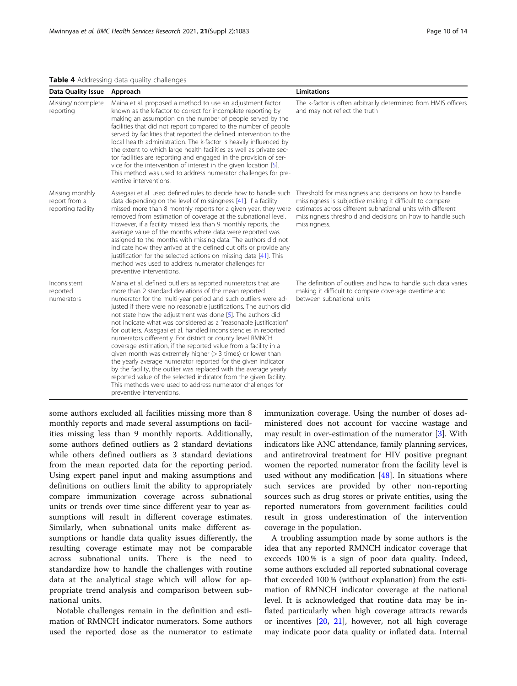## <span id="page-9-0"></span>Table 4 Addressing data quality challenges

| Data Quality Issue                                                                                                                                                                                                                                                                                                                                                                                                                                                                                                                                                                                                                                                                                                                                    | Approach                                                                                                                                                                                                                                                                                                                                                                                                                                                                                                                                                                                                                                                                                                                                                                                                                                                                                                                                                                    | <b>Limitations</b>                                                                                                                                                                                                                                               |  |  |
|-------------------------------------------------------------------------------------------------------------------------------------------------------------------------------------------------------------------------------------------------------------------------------------------------------------------------------------------------------------------------------------------------------------------------------------------------------------------------------------------------------------------------------------------------------------------------------------------------------------------------------------------------------------------------------------------------------------------------------------------------------|-----------------------------------------------------------------------------------------------------------------------------------------------------------------------------------------------------------------------------------------------------------------------------------------------------------------------------------------------------------------------------------------------------------------------------------------------------------------------------------------------------------------------------------------------------------------------------------------------------------------------------------------------------------------------------------------------------------------------------------------------------------------------------------------------------------------------------------------------------------------------------------------------------------------------------------------------------------------------------|------------------------------------------------------------------------------------------------------------------------------------------------------------------------------------------------------------------------------------------------------------------|--|--|
| Missing/incomplete<br>Maina et al. proposed a method to use an adjustment factor<br>known as the k-factor to correct for incomplete reporting by<br>reporting<br>making an assumption on the number of people served by the<br>facilities that did not report compared to the number of people<br>served by facilities that reported the defined intervention to the<br>local health administration. The k-factor is heavily influenced by<br>the extent to which large health facilities as well as private sec-<br>tor facilities are reporting and engaged in the provision of ser-<br>vice for the intervention of interest in the given location [5].<br>This method was used to address numerator challenges for pre-<br>ventive interventions. |                                                                                                                                                                                                                                                                                                                                                                                                                                                                                                                                                                                                                                                                                                                                                                                                                                                                                                                                                                             | The k-factor is often arbitrarily determined from HMIS officers<br>and may not reflect the truth                                                                                                                                                                 |  |  |
| Missing monthly<br>report from a<br>reporting facility                                                                                                                                                                                                                                                                                                                                                                                                                                                                                                                                                                                                                                                                                                | Assegaai et al. used defined rules to decide how to handle such<br>data depending on the level of missingness [41]. If a facility<br>missed more than 8 monthly reports for a given year, they were<br>removed from estimation of coverage at the subnational level.<br>However, if a facility missed less than 9 monthly reports, the<br>average value of the months where data were reported was<br>assigned to the months with missing data. The authors did not<br>indicate how they arrived at the defined cut offs or provide any<br>justification for the selected actions on missing data [41]. This<br>method was used to address numerator challenges for<br>preventive interventions.                                                                                                                                                                                                                                                                            | Threshold for missingness and decisions on how to handle<br>missingness is subjective making it difficult to compare<br>estimates across different subnational units with different<br>missingness threshold and decisions on how to handle such<br>missingness. |  |  |
| Inconsistent<br>reported<br>numerators                                                                                                                                                                                                                                                                                                                                                                                                                                                                                                                                                                                                                                                                                                                | Maina et al. defined outliers as reported numerators that are<br>more than 2 standard deviations of the mean reported<br>numerator for the multi-year period and such outliers were ad-<br>justed if there were no reasonable justifications. The authors did<br>not state how the adjustment was done [5]. The authors did<br>not indicate what was considered as a "reasonable justification"<br>for outliers. Assegaai et al. handled inconsistencies in reported<br>numerators differently. For district or county level RMNCH<br>coverage estimation, if the reported value from a facility in a<br>given month was extremely higher $(> 3$ times) or lower than<br>the yearly average numerator reported for the given indicator<br>by the facility, the outlier was replaced with the average yearly<br>reported value of the selected indicator from the given facility.<br>This methods were used to address numerator challenges for<br>preventive interventions. | The definition of outliers and how to handle such data varies<br>making it difficult to compare coverage overtime and<br>between subnational units                                                                                                               |  |  |

some authors excluded all facilities missing more than 8 monthly reports and made several assumptions on facilities missing less than 9 monthly reports. Additionally, some authors defined outliers as 2 standard deviations while others defined outliers as 3 standard deviations from the mean reported data for the reporting period. Using expert panel input and making assumptions and definitions on outliers limit the ability to appropriately compare immunization coverage across subnational units or trends over time since different year to year assumptions will result in different coverage estimates. Similarly, when subnational units make different assumptions or handle data quality issues differently, the resulting coverage estimate may not be comparable across subnational units. There is the need to standardize how to handle the challenges with routine data at the analytical stage which will allow for appropriate trend analysis and comparison between subnational units.

Notable challenges remain in the definition and estimation of RMNCH indicator numerators. Some authors used the reported dose as the numerator to estimate immunization coverage. Using the number of doses administered does not account for vaccine wastage and may result in over-estimation of the numerator [\[3](#page-11-0)]. With indicators like ANC attendance, family planning services, and antiretroviral treatment for HIV positive pregnant women the reported numerator from the facility level is used without any modification  $[48]$  $[48]$ . In situations where such services are provided by other non-reporting sources such as drug stores or private entities, using the reported numerators from government facilities could result in gross underestimation of the intervention coverage in the population.

A troubling assumption made by some authors is the idea that any reported RMNCH indicator coverage that exceeds 100 % is a sign of poor data quality. Indeed, some authors excluded all reported subnational coverage that exceeded 100 % (without explanation) from the estimation of RMNCH indicator coverage at the national level. It is acknowledged that routine data may be inflated particularly when high coverage attracts rewards or incentives [[20](#page-12-0), [21](#page-12-0)], however, not all high coverage may indicate poor data quality or inflated data. Internal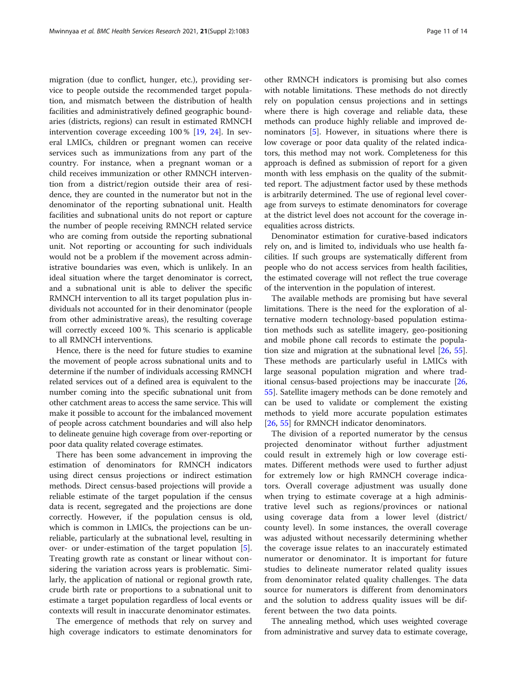migration (due to conflict, hunger, etc.), providing service to people outside the recommended target population, and mismatch between the distribution of health facilities and administratively defined geographic boundaries (districts, regions) can result in estimated RMNCH intervention coverage exceeding 100 % [[19,](#page-12-0) [24\]](#page-12-0). In several LMICs, children or pregnant women can receive services such as immunizations from any part of the country. For instance, when a pregnant woman or a child receives immunization or other RMNCH intervention from a district/region outside their area of residence, they are counted in the numerator but not in the denominator of the reporting subnational unit. Health facilities and subnational units do not report or capture the number of people receiving RMNCH related service who are coming from outside the reporting subnational unit. Not reporting or accounting for such individuals would not be a problem if the movement across administrative boundaries was even, which is unlikely. In an ideal situation where the target denominator is correct, and a subnational unit is able to deliver the specific RMNCH intervention to all its target population plus individuals not accounted for in their denominator (people from other administrative areas), the resulting coverage will correctly exceed 100 %. This scenario is applicable to all RMNCH interventions.

Hence, there is the need for future studies to examine the movement of people across subnational units and to determine if the number of individuals accessing RMNCH related services out of a defined area is equivalent to the number coming into the specific subnational unit from other catchment areas to access the same service. This will make it possible to account for the imbalanced movement of people across catchment boundaries and will also help to delineate genuine high coverage from over-reporting or poor data quality related coverage estimates.

There has been some advancement in improving the estimation of denominators for RMNCH indicators using direct census projections or indirect estimation methods. Direct census-based projections will provide a reliable estimate of the target population if the census data is recent, segregated and the projections are done correctly. However, if the population census is old, which is common in LMICs, the projections can be unreliable, particularly at the subnational level, resulting in over- or under-estimation of the target population [\[5](#page-11-0)]. Treating growth rate as constant or linear without considering the variation across years is problematic. Similarly, the application of national or regional growth rate, crude birth rate or proportions to a subnational unit to estimate a target population regardless of local events or contexts will result in inaccurate denominator estimates.

The emergence of methods that rely on survey and high coverage indicators to estimate denominators for

other RMNCH indicators is promising but also comes with notable limitations. These methods do not directly rely on population census projections and in settings where there is high coverage and reliable data, these methods can produce highly reliable and improved denominators [[5\]](#page-11-0). However, in situations where there is low coverage or poor data quality of the related indicators, this method may not work. Completeness for this approach is defined as submission of report for a given month with less emphasis on the quality of the submitted report. The adjustment factor used by these methods is arbitrarily determined. The use of regional level coverage from surveys to estimate denominators for coverage at the district level does not account for the coverage inequalities across districts.

Denominator estimation for curative-based indicators rely on, and is limited to, individuals who use health facilities. If such groups are systematically different from people who do not access services from health facilities, the estimated coverage will not reflect the true coverage of the intervention in the population of interest.

The available methods are promising but have several limitations. There is the need for the exploration of alternative modern technology-based population estimation methods such as satellite imagery, geo-positioning and mobile phone call records to estimate the population size and migration at the subnational level [[26,](#page-12-0) [55](#page-13-0)]. These methods are particularly useful in LMICs with large seasonal population migration and where traditional census-based projections may be inaccurate [[26](#page-12-0), [55\]](#page-13-0). Satellite imagery methods can be done remotely and can be used to validate or complement the existing methods to yield more accurate population estimates [[26,](#page-12-0) [55\]](#page-13-0) for RMNCH indicator denominators.

The division of a reported numerator by the census projected denominator without further adjustment could result in extremely high or low coverage estimates. Different methods were used to further adjust for extremely low or high RMNCH coverage indicators. Overall coverage adjustment was usually done when trying to estimate coverage at a high administrative level such as regions/provinces or national using coverage data from a lower level (district/ county level). In some instances, the overall coverage was adjusted without necessarily determining whether the coverage issue relates to an inaccurately estimated numerator or denominator. It is important for future studies to delineate numerator related quality issues from denominator related quality challenges. The data source for numerators is different from denominators and the solution to address quality issues will be different between the two data points.

The annealing method, which uses weighted coverage from administrative and survey data to estimate coverage,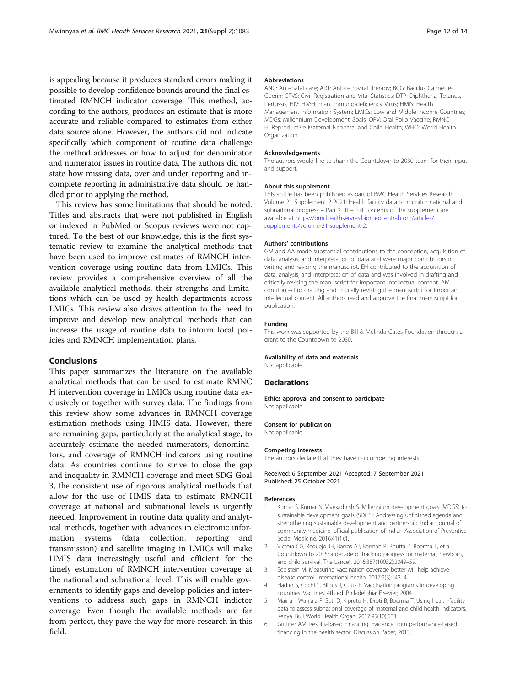<span id="page-11-0"></span>is appealing because it produces standard errors making it possible to develop confidence bounds around the final estimated RMNCH indicator coverage. This method, according to the authors, produces an estimate that is more accurate and reliable compared to estimates from either data source alone. However, the authors did not indicate specifically which component of routine data challenge the method addresses or how to adjust for denominator and numerator issues in routine data. The authors did not state how missing data, over and under reporting and incomplete reporting in administrative data should be handled prior to applying the method.

This review has some limitations that should be noted. Titles and abstracts that were not published in English or indexed in PubMed or Scopus reviews were not captured. To the best of our knowledge, this is the first systematic review to examine the analytical methods that have been used to improve estimates of RMNCH intervention coverage using routine data from LMICs. This review provides a comprehensive overview of all the available analytical methods, their strengths and limitations which can be used by health departments across LMICs. This review also draws attention to the need to improve and develop new analytical methods that can increase the usage of routine data to inform local policies and RMNCH implementation plans.

## Conclusions

This paper summarizes the literature on the available analytical methods that can be used to estimate RMNC H intervention coverage in LMICs using routine data exclusively or together with survey data. The findings from this review show some advances in RMNCH coverage estimation methods using HMIS data. However, there are remaining gaps, particularly at the analytical stage, to accurately estimate the needed numerators, denominators, and coverage of RMNCH indicators using routine data. As countries continue to strive to close the gap and inequality in RMNCH coverage and meet SDG Goal 3, the consistent use of rigorous analytical methods that allow for the use of HMIS data to estimate RMNCH coverage at national and subnational levels is urgently needed. Improvement in routine data quality and analytical methods, together with advances in electronic information systems (data collection, reporting and transmission) and satellite imaging in LMICs will make HMIS data increasingly useful and efficient for the timely estimation of RMNCH intervention coverage at the national and subnational level. This will enable governments to identify gaps and develop policies and interventions to address such gaps in RMNCH indictor coverage. Even though the available methods are far from perfect, they pave the way for more research in this field.

#### Abbreviations

ANC: Antenatal care; ART: Anti-retroviral therapy; BCG: Bacillus Calmette-Guerin; CRVS: Civil Registration and Vital Statistics; DTP: Diphtheria, Tetanus, Pertussis; HIV: HIV:Human Immuno-deficiency Virus; HMIS: Health Management Information System; LMICs: Low and Middle Income Countries; MDGs: Millennium Development Goals; OPV: Oral Polio Vaccine; RMNC H: Reproductive Maternal Neonatal and Child Health; WHO: World Health Organization

#### Acknowledgements

The authors would like to thank the Countdown to 2030 team for their input and support.

#### About this supplement

This article has been published as part of BMC Health Services Research Volume 21 Supplement 2 2021: Health facility data to monitor national and subnational progress – Part 2. The full contents of the supplement are available at [https://bmchealthservres.biomedcentral.com/articles/](https://bmchealthservres.biomedcentral.com/articles/supplements/volume-21-supplement-2) [supplements/volume-21-supplement-2.](https://bmchealthservres.biomedcentral.com/articles/supplements/volume-21-supplement-2)

#### Authors' contributions

GM and AA made substantial contributions to the conception, acquisition of data, analysis, and interpretation of data and were major contributors in writing and revising the manuscript. EH contributed to the acquisition of data, analysis, and interpretation of data and was involved in drafting and critically revising the manuscript for important intellectual content. AM contributed to drafting and critically revising the manuscript for important intellectual content. All authors read and approve the final manuscript for publication.

#### Funding

This work was supported by the Bill & Melinda Gates Foundation through a grant to the Countdown to 2030.

#### Availability of data and materials

Not applicable.

## **Declarations**

Ethics approval and consent to participate Not applicable.

#### Consent for publication

Not applicable.

#### Competing interests

The authors declare that they have no competing interests.

Received: 6 September 2021 Accepted: 7 September 2021 Published: 25 October 2021

#### References

- 1. Kumar S, Kumar N, Vivekadhish S. Millennium development goals (MDGS) to sustainable development goals (SDGS): Addressing unfinished agenda and strengthening sustainable development and partnership. Indian journal of community medicine: official publication of Indian Association of Preventive Social Medicine. 2016;41(1):1.
- 2. Victora CG, Requejo JH, Barros AJ, Berman P, Bhutta Z, Boerma T, et al. Countdown to 2015: a decade of tracking progress for maternal, newborn, and child survival. The Lancet. 2016;387(10032):2049–59.
- 3. Edelstein M. Measuring vaccination coverage better will help achieve disease control. International health. 2017;9(3):142–4.
- 4. Hadler S, Cochi S, Bilous J, Cutts F. Vaccination programs in developing countries. Vaccines. 4th ed. Philadelphia: Elsevier; 2004.
- 5. Maina I, Wanjala P, Soti D, Kipruto H, Droti B, Boerma T. Using health-facility data to assess subnational coverage of maternal and child health indicators, Kenya. Bull World Health Organ. 2017;95(10):683.
- 6. Grittner AM. Results-based Financing: Evidence from performance-based financing in the health sector: Discussion Paper; 2013.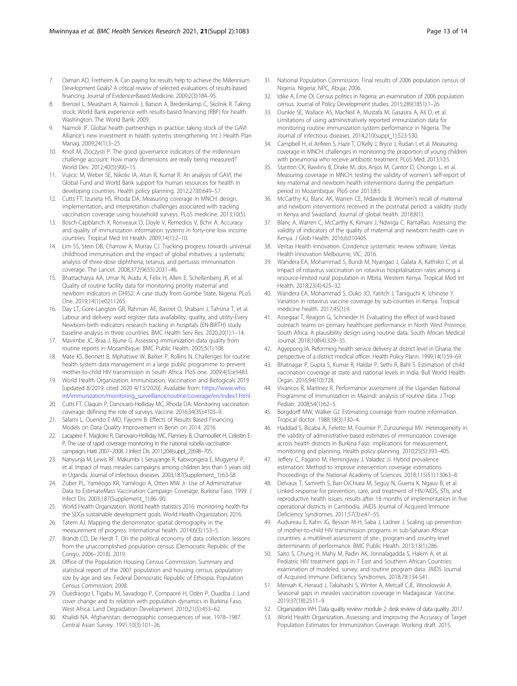- <span id="page-12-0"></span>7. Oxman AD, Fretheim A. Can paying for results help to achieve the Millennium Development Goals? A critical review of selected evaluations of results-based financing. Journal of Evidence-Based Medicine. 2009;2(3):184-95.
- 8. Brenzel L, Measham A, Naimoli J, Batson A, Bredenkamp C, Skolnik R. Taking stock: World Bank experience with results-based financing (RBF) for health. Washington: The World Bank; 2009.
- Naimoli JF. Global health partnerships in practice: taking stock of the GAVI Alliance's new investment in health systems strengthening. Int J Health Plan Manag. 2009;24(1):3–25.
- 10. Knoll M, Zloczysti P. The good governance indicators of the millennium challenge account: How many dimensions are really being measured? World Dev. 2012;40(5):900–15.
- 11. Vujicic M, Weber SE, Nikolic IA, Atun R, Kumar R. An analysis of GAVI, the Global Fund and World Bank support for human resources for health in developing countries. Health policy planning. 2012;27(8):649–57.
- 12. Cutts FT, Izurieta HS, Rhoda DA. Measuring coverage in MNCH: design, implementation, and interpretation challenges associated with tracking vaccination coverage using household surveys. PLoS medicine. 2013;10(5).
- 13. Bosch-Capblanch X, Ronveaux O, Doyle V, Remedios V, Bchir A. Accuracy and quality of immunization information systems in forty-one low income countries. Tropical Med Int Health. 2009;14(1):2–10.
- 14. Lim SS, Stein DB, Charrow A, Murray CJ. Tracking progress towards universal childhood immunisation and the impact of global initiatives: a systematic analysis of three-dose diphtheria, tetanus, and pertussis immunisation coverage. The Lancet. 2008;372(9655):2031–46.
- 15. Bhattacharya AA, Umar N, Audu A, Felix H, Allen E, Schellenberg JR, et al. Quality of routine facility data for monitoring priority maternal and newborn indicators in DHIS2: A case study from Gombe State, Nigeria. PLoS One. 2019;14(1):e0211265.
- 16. Day LT, Gore-Langton GR, Rahman AE, Basnet O, Shabani J, Tahsina T, et al. Labour and delivery ward register data availability, quality, and utility-Every Newborn-birth indicators research tracking in hospitals (EN-BIRTH) study baseline analysis in three countries. BMC Health Serv Res. 2020;20(1):1–14.
- 17. Mavimbe JC, Braa J, Bjune G. Assessing immunization data quality from routine reports in Mozambique. BMC Public Health. 2005;5(1):108.
- 18. Mate KS, Bennett B, Mphatswe W, Barker P, Rollins N. Challenges for routine health system data management in a large public programme to prevent mother-to-child HIV transmission in South Africa. PloS one. 2009;4(5):e5483.
- 19. World Health Organization. Immunization, Vaccination and Biologicals 2019 [updated 8/2019; cited 2020 4/13/2020]. Available from: [https://www.who.](https://www.who.int/immunization/monitoring_surveillance/routine/coverage/en/index1.html) [int/immunization/monitoring\\_surveillance/routine/coverage/en/index1.html.](https://www.who.int/immunization/monitoring_surveillance/routine/coverage/en/index1.html)
- 20. Cutts FT, Claquin P, Danovaro-Holliday MC, Rhoda DA. Monitoring vaccination coverage: defining the role of surveys. Vaccine. 2016;34(35):4103–9.
- 21. Salami L, Ouendo E-MD, Fayomi B. Effects of Results Based Financing Models on Data Quality Improvement in Benin on 2014. 2016.
- 22. Lacapère F, Magloire R, Danovaro-Holliday MC, Flannery B, Chamoulliet H, Celestin E-P. The use of rapid coverage monitoring in the national rubella vaccination campaign, Haiti 2007–2008. J Infect Dis. 2011;204(suppl\_2):698–705.
- 23. Nanyunja M, Lewis RF, Makumbi I, Seruyange R, Kabwongera E, Mugyenyi P, et al. Impact of mass measles campaigns among children less than 5 years old in Uganda. Journal of infectious diseases. 2003;187(Supplement\_1):63-S8.
- 24. Zuber PL, Yaméogo KR, Yaméogo A, Otten MW Jr. Use of Administrative Data to EstimateMass Vaccination Campaign Coverage, Burkina Faso, 1999. J Infect Dis. 2003;187(Supplement\_1):86–90.
- 25. World Health Organization. World health statistics 2016: monitoring health for the SDGs sustainable development goals. World Health Organization; 2016.
- 26. Tatem AJ. Mapping the denominator: spatial demography in the measurement of progress. International health. 2014;6(3):153–5.
- 27. Brandt CO, De Herdt T. On the political economy of data collection: lessons from the unaccomplished population census (Democratic Republic of the Congo, 2006–2018). 2019.
- 28. Office of the Population Housing Census Commission. Summary and statistical report of the 2007 population and housing census: population size by age and sex. Federal Democratic Republic of Ethiopia, Population Census Commission; 2008.
- 29. Ouedraogo I, Tigabu M, Savadogo P, Compaoré H, Odén P, Ouadba J. Land cover change and its relation with population dynamics in Burkina Faso, West Africa. Land Degradation Development. 2010;21(5):453–62.
- 30. Khalidi NA. Afghanistan: demographic consequences of war, 1978–1987. Central Asian Survey. 1991;10(3):101–26.
- 31. National Population Commission. Final results of 2006 population census of Nigeria. Nigeria: NPC, Abuja; 2006.
- 32. Idike A, Eme OI. Census politics in Nigeria: an examination of 2006 population census. Journal of Policy Development studies. 2015;289(1851):1–26.
- 33. Dunkle SE, Wallace AS, MacNeil A, Mustafa M, Gasasira A, Ali D, et al. Limitations of using administratively reported immunization data for monitoring routine immunization system performance in Nigeria. The Journal of infectious diseases. 2014;210(suppl\_1):523-S30.
- 34. Campbell H, el Arifeen S, Hazir T, O'Kelly J, Bryce J, Rudan I, et al. Measuring coverage in MNCH: challenges in monitoring the proportion of young children with pneumonia who receive antibiotic treatment. PLoS Med. 2013;10:5.
- 35. Stanton CK, Rawlins B, Drake M, dos Anjos M, Cantor D, Chongo L, et al. Measuring coverage in MNCH: testing the validity of women's self-report of key maternal and newborn health interventions during the peripartum period in Mozambique. PloS one 2013;8:5.
- 36. McCarthy KJ, Blanc AK, Warren CE, Mdawida B. Women's recall of maternal and newborn interventions received in the postnatal period: a validity study in Kenya and Swaziland. Journal of global health. 2018;8(1).
- 37. Blanc A, Warren C, McCarthy K, Kimani J, Ndwiga C. RamaRao. Assessing the validity of indicators of the quality of maternal and newborn health care in Kenya. J Glob Health. 2016;6:010405.
- 38. Veritas Health Innovation. Covidence systematic review software. Veritas Health Innovation Melbourne, VIC; 2016.
- 39. Wandera EA, Mohammad S, Bundi M, Nyangao J, Galata A, Kathiiko C, et al. Impact of rotavirus vaccination on rotavirus hospitalisation rates among a resource-limited rural population in Mbita, Western Kenya. Tropical Med Int Health. 2018;23(4):425–32.
- 40. Wandera EA, Mohammad S, Ouko JO, Yatitch J, Taniguchi K, Ichinose Y. Variation in rotavirus vaccine coverage by sub-counties in Kenya. Tropical medicine health. 2017;45(1):9.
- 41. Assegaai T, Reagon G, Schneider H. Evaluating the effect of ward-based outreach teams on primary healthcare performance in North West Province, South Africa: A plausibility design using routine data. South African Medical Journal. 2018;108(4):329–35.
- 42. Agyepong IA. Reforming health service delivery at district level in Ghana: the perspective of a district medical officer. Health Policy Plann. 1999;14(1):59–69.
- 43. Bhatnagar P, Gupta S, Kumar R, Haldar P, Sethi R, Bahl S. Estimation of child vaccination coverage at state and national levels in India. Bull World Health Organ. 2016;94(10):728.
- 44. Vivancos R, Martinez R. Performance assessment of the Ugandan National Programme of Immunization in Masindi: analysis of routine data. J Trop Pediatr. 2008;54(1):62–5.
- 45. Borgdorff MW, Walker GJ. Estimating coverage from routine information. Tropical doctor. 1988;18(3):130–4.
- 46. Haddad S, Bicaba A, Feletto M, Fournier P, Zunzunegui MV. Heterogeneity in the validity of administrative-based estimates of immunization coverage across health districts in Burkina Faso: implications for measurement, monitoring and planning. Health policy planning. 2010;25(5):393–405.
- 47. Jeffery C, Pagano M, Hemingway J, Valadez JJ. Hybrid prevalence estimation: Method to improve intervention coverage estimations. Proceedings of the National Academy of Sciences. 2018;115(51):13063–8.
- 48. Delvaux T, Samreth S, Barr-DiChiara M, Seguy N, Guerra K, Ngauv B, et al. Linked response for prevention, care, and treatment of HIV/AIDS, STIs, and reproductive health issues: results after 18 months of implementation in five operational districts in Cambodia. JAIDS Journal of Acquired Immune Deficiency Syndromes. 2011;57(3):e47–55.
- 49. Audureau E, Kahn JG, Besson M-H, Saba J, Ladner J. Scaling up prevention of mother-to-child HIV transmission programs in sub-Saharan African countries: a multilevel assessment of site-, program-and country-level determinants of performance. BMC Public Health. 2013;13(1):286.
- 50. Saito S, Chung H, Mahy M, Radin AK, Jonnalagadda S, Hakim A, et al. Pediatric HIV treatment gaps in 7 East and Southern African Countries: examination of modeled, survey, and routine program data. JAIDS Journal of Acquired Immune Deficiency Syndromes. 2018;78:134-S41.
- 51. Mensah K, Heraud J, Takahashi S, Winter A, Metcalf CJE, Wesolowski A. Seasonal gaps in measles vaccination coverage in Madagascar. Vaccine. 2019;37(18):2511–9.
- 52. Organization WH. Data quality review: module 2: desk review of data quality. 2017.
- 53. World Health Organization. Assessing and Improving the Accuracy of Target Population Estimates for Immunization Coverage. Working draft. 2015.